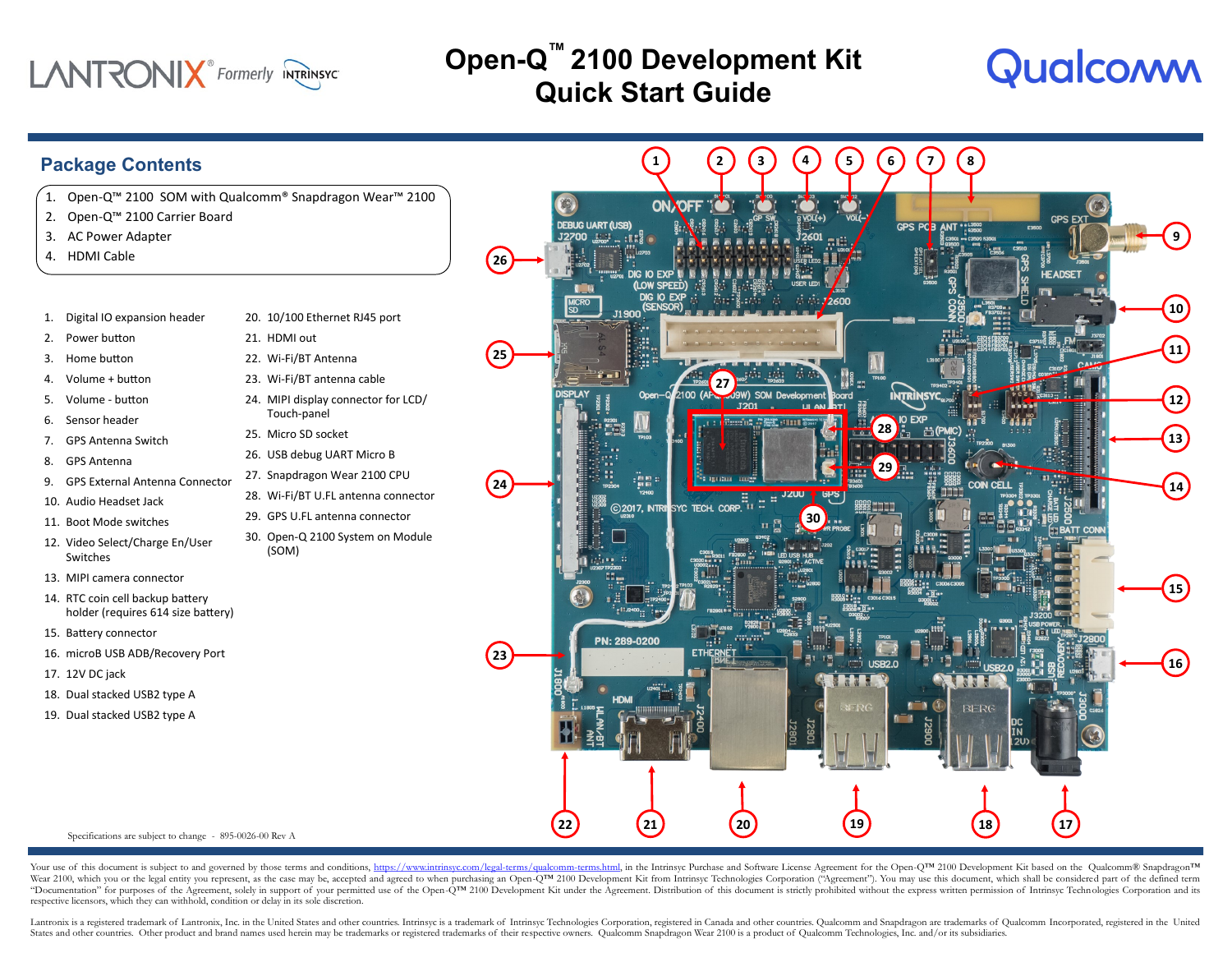

### **Open-Q ™ 2100 Development Kit Quick Start Guide**

**1 2 3 5**

# Qualcomm

### **Package Contents** 1. Open-Q™ 2100 SOM with Qualcomm® Snapdragon Wear™ 2100 2. Open-Q™ 2100 Carrier Board

- 3. AC Power Adapter
- 4. HDMI Cable
- 1. Digital IO expansion header
- 2. Power button
- 3. Home button
- 4. Volume + button
- 5. Volume button
- 6. Sensor header
- 7. GPS Antenna Switch
- 8. GPS Antenna
- 9. GPS External Antenna Connector
- 10. Audio Headset Jack
- 11. Boot Mode switches
- 12. Video Select/Charge En/User Switches
- 13. MIPI camera connector
- 14. RTC coin cell backup battery holder (requires 614 size battery)
- 15. Battery connector
- 16. microB USB ADB/Recovery Port
- 17. 12V DC jack
- 18. Dual stacked USB2 type A
- 19. Dual stacked USB2 type A



#### 21. HDMI out

- 22. Wi-Fi/BT Antenna
- 23. Wi-Fi/BT antenna cable
- 24. MIPI display connector for LCD/ Touch-panel
- 25. Micro SD socket
- 26. USB debug UART Micro B
- 27. Snapdragon Wear 2100 CPU
- 28. Wi-Fi/BT U.FL antenna connector
- 29. GPS U.FL antenna connector
- 30. Open-Q 2100 System on Module (SOM)



**4 6**

**7 8**

Specifications are subject to change - 895-0026-00 Rev A

Your use of this document is subject to and governed by those terms and conditions, [https://www.intrinsyc.com/legal-terms/qualcomm-terms.html,](https://www.intrinsyc.com/legal-terms/qualcomm-terms.html) in the Intrinsyc Purchase and Software License Agreement for the Open-Q™ 2100 Wear 2100, which you or the legal entity you represent, as the case may be, accepted and agreed to when purchasing an Open-QTM 2100 Development Kit from Intrinsyc Technologies Corporation ("Agreement"). You may use this do "Documentation" for purposes of the Agreement, solely in support of your permitted use of the Open-QTM 2100 Development Kit under the Agreement. Distribution of this document is strictly prohibited without the express writ respective licensors, which they can withhold, condition or delay in its sole discretion.

Lantronix is a registered trademark of Lantronix, Inc. in the United States and other countries. Intrinsyc is a trademark of Intrinsyc Technologies Corporation, registered in Canada and other countries. Qualcomm and Snapdr States and other countries. Other product and brand names used herein may be trademarks or registered trademarks of their respective owners. Qualcomm Snapdragon Wear 2100 is a product of Qualcomm Technologies, Inc. and/or